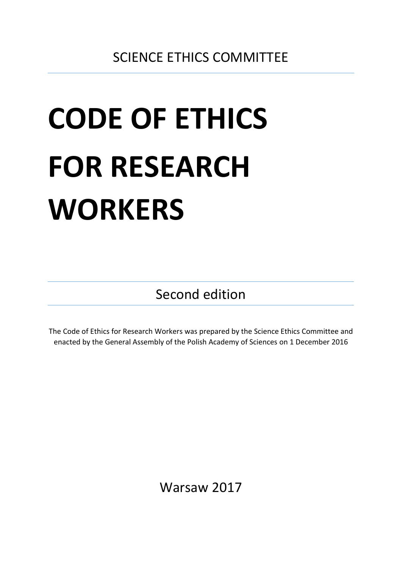# **CODE OF ETHICS FOR RESEARCH WORKERS**

Second edition

The Code of Ethics for Research Workers was prepared by the Science Ethics Committee and enacted by the General Assembly of the Polish Academy of Sciences on 1 December 2016

Warsaw 2017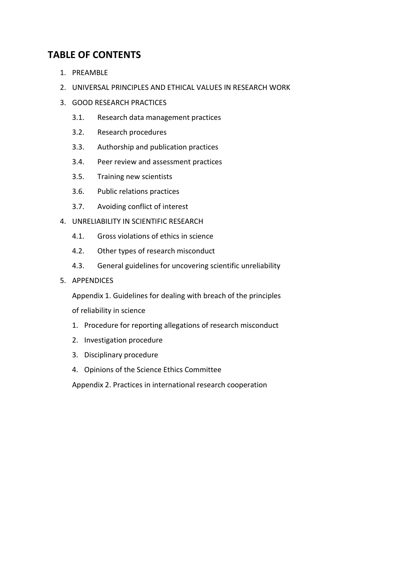# **TABLE OF CONTENTS**

- 1. PREAMBLE
- 2. UNIVERSAL PRINCIPLES AND ETHICAL VALUES IN RESEARCH WORK
- 3. GOOD RESEARCH PRACTICES
	- 3.1. Research data management practices
	- 3.2. Research procedures
	- 3.3. Authorship and publication practices
	- 3.4. Peer review and assessment practices
	- 3.5. Training new scientists
	- 3.6. Public relations practices
	- 3.7. Avoiding conflict of interest
- 4. UNRELIABILITY IN SCIENTIFIC RESEARCH
	- 4.1. Gross violations of ethics in science
	- 4.2. Other types of research misconduct
	- 4.3. General guidelines for uncovering scientific unreliability

#### 5. APPENDICES

Appendix 1. Guidelines for dealing with breach of the principles

of reliability in science

- 1. Procedure for reporting allegations of research misconduct
- 2. Investigation procedure
- 3. Disciplinary procedure
- 4. Opinions of the Science Ethics Committee

Appendix 2. Practices in international research cooperation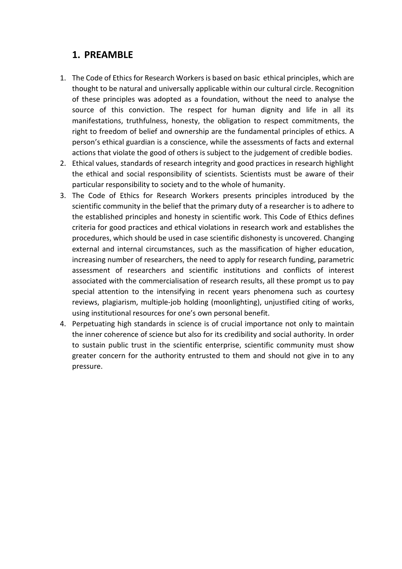# **1. PREAMBLE**

- 1. The Code of Ethics for Research Workers is based on basic ethical principles, which are thought to be natural and universally applicable within our cultural circle. Recognition of these principles was adopted as a foundation, without the need to analyse the source of this conviction. The respect for human dignity and life in all its manifestations, truthfulness, honesty, the obligation to respect commitments, the right to freedom of belief and ownership are the fundamental principles of ethics. A person's ethical guardian is a conscience, while the assessments of facts and external actions that violate the good of others is subject to the judgement of credible bodies.
- 2. Ethical values, standards of research integrity and good practices in research highlight the ethical and social responsibility of scientists. Scientists must be aware of their particular responsibility to society and to the whole of humanity.
- 3. The Code of Ethics for Research Workers presents principles introduced by the scientific community in the belief that the primary duty of a researcher is to adhere to the established principles and honesty in scientific work. This Code of Ethics defines criteria for good practices and ethical violations in research work and establishes the procedures, which should be used in case scientific dishonesty is uncovered. Changing external and internal circumstances, such as the massification of higher education, increasing number of researchers, the need to apply for research funding, parametric assessment of researchers and scientific institutions and conflicts of interest associated with the commercialisation of research results, all these prompt us to pay special attention to the intensifying in recent years phenomena such as courtesy reviews, plagiarism, multiple-job holding (moonlighting), unjustified citing of works, using institutional resources for one's own personal benefit.
- 4. Perpetuating high standards in science is of crucial importance not only to maintain the inner coherence of science but also for its credibility and social authority. In order to sustain public trust in the scientific enterprise, scientific community must show greater concern for the authority entrusted to them and should not give in to any pressure.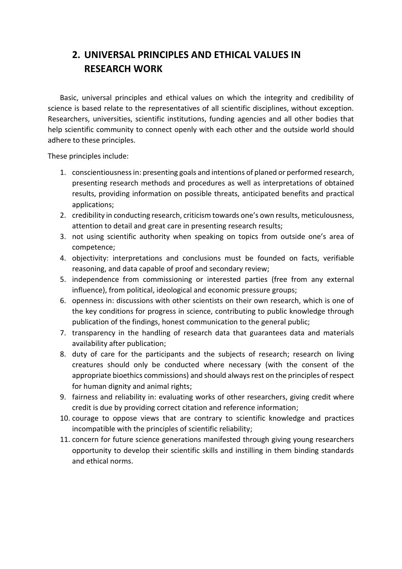# **2. UNIVERSAL PRINCIPLES AND ETHICAL VALUES IN RESEARCH WORK**

Basic, universal principles and ethical values on which the integrity and credibility of science is based relate to the representatives of all scientific disciplines, without exception. Researchers, universities, scientific institutions, funding agencies and all other bodies that help scientific community to connect openly with each other and the outside world should adhere to these principles.

These principles include:

- 1. conscientiousness in: presenting goals and intentions of planed or performed research, presenting research methods and procedures as well as interpretations of obtained results, providing information on possible threats, anticipated benefits and practical applications;
- 2. credibility in conducting research, criticism towards one's own results, meticulousness, attention to detail and great care in presenting research results;
- 3. not using scientific authority when speaking on topics from outside one's area of competence;
- 4. objectivity: interpretations and conclusions must be founded on facts, verifiable reasoning, and data capable of proof and secondary review;
- 5. independence from commissioning or interested parties (free from any external influence), from political, ideological and economic pressure groups;
- 6. openness in: discussions with other scientists on their own research, which is one of the key conditions for progress in science, contributing to public knowledge through publication of the findings, honest communication to the general public;
- 7. transparency in the handling of research data that guarantees data and materials availability after publication;
- 8. duty of care for the participants and the subjects of research; research on living creatures should only be conducted where necessary (with the consent of the appropriate bioethics commissions) and should always rest on the principles of respect for human dignity and animal rights;
- 9. fairness and reliability in: evaluating works of other researchers, giving credit where credit is due by providing correct citation and reference information;
- 10. courage to oppose views that are contrary to scientific knowledge and practices incompatible with the principles of scientific reliability;
- 11. concern for future science generations manifested through giving young researchers opportunity to develop their scientific skills and instilling in them binding standards and ethical norms.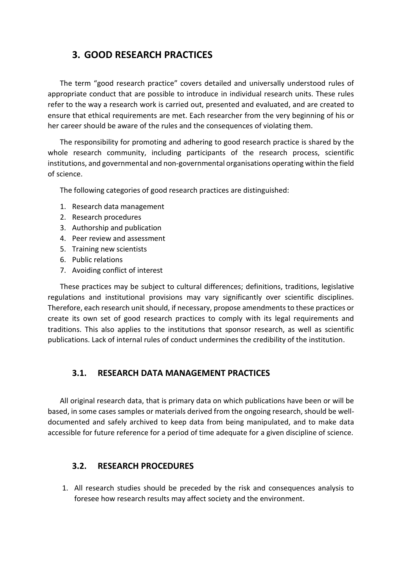# **3. GOOD RESEARCH PRACTICES**

The term "good research practice" covers detailed and universally understood rules of appropriate conduct that are possible to introduce in individual research units. These rules refer to the way a research work is carried out, presented and evaluated, and are created to ensure that ethical requirements are met. Each researcher from the very beginning of his or her career should be aware of the rules and the consequences of violating them.

The responsibility for promoting and adhering to good research practice is shared by the whole research community, including participants of the research process, scientific institutions, and governmental and non-governmental organisations operating within the field of science.

The following categories of good research practices are distinguished:

- 1. Research data management
- 2. Research procedures
- 3. Authorship and publication
- 4. Peer review and assessment
- 5. Training new scientists
- 6. Public relations
- 7. Avoiding conflict of interest

These practices may be subject to cultural differences; definitions, traditions, legislative regulations and institutional provisions may vary significantly over scientific disciplines. Therefore, each research unit should, if necessary, propose amendments to these practices or create its own set of good research practices to comply with its legal requirements and traditions. This also applies to the institutions that sponsor research, as well as scientific publications. Lack of internal rules of conduct undermines the credibility of the institution.

### **3.1. RESEARCH DATA MANAGEMENT PRACTICES**

All original research data, that is primary data on which publications have been or will be based, in some cases samples or materials derived from the ongoing research, should be welldocumented and safely archived to keep data from being manipulated, and to make data accessible for future reference for a period of time adequate for a given discipline of science.

#### **3.2. RESEARCH PROCEDURES**

1. All research studies should be preceded by the risk and consequences analysis to foresee how research results may affect society and the environment.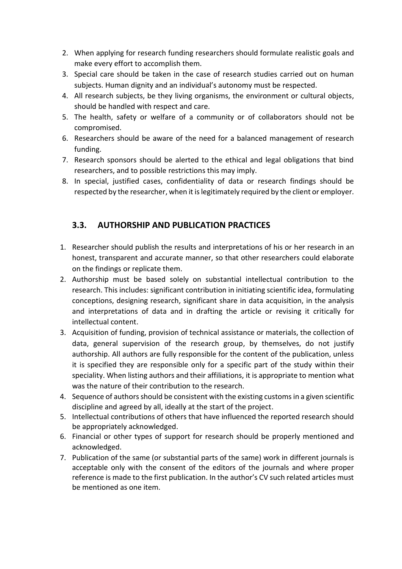- 2. When applying for research funding researchers should formulate realistic goals and make every effort to accomplish them.
- 3. Special care should be taken in the case of research studies carried out on human subjects. Human dignity and an individual's autonomy must be respected.
- 4. All research subjects, be they living organisms, the environment or cultural objects, should be handled with respect and care.
- 5. The health, safety or welfare of a community or of collaborators should not be compromised.
- 6. Researchers should be aware of the need for a balanced management of research funding.
- 7. Research sponsors should be alerted to the ethical and legal obligations that bind researchers, and to possible restrictions this may imply.
- 8. In special, justified cases, confidentiality of data or research findings should be respected by the researcher, when it is legitimately required by the client or employer.

## **3.3. AUTHORSHIP AND PUBLICATION PRACTICES**

- 1. Researcher should publish the results and interpretations of his or her research in an honest, transparent and accurate manner, so that other researchers could elaborate on the findings or replicate them.
- 2. Authorship must be based solely on substantial intellectual contribution to the research. This includes: significant contribution in initiating scientific idea, formulating conceptions, designing research, significant share in data acquisition, in the analysis and interpretations of data and in drafting the article or revising it critically for intellectual content.
- 3. Acquisition of funding, provision of technical assistance or materials, the collection of data, general supervision of the research group, by themselves, do not justify authorship. All authors are fully responsible for the content of the publication, unless it is specified they are responsible only for a specific part of the study within their speciality. When listing authors and their affiliations, it is appropriate to mention what was the nature of their contribution to the research.
- 4. Sequence of authors should be consistent with the existing customs in a given scientific discipline and agreed by all, ideally at the start of the project.
- 5. Intellectual contributions of others that have influenced the reported research should be appropriately acknowledged.
- 6. Financial or other types of support for research should be properly mentioned and acknowledged.
- 7. Publication of the same (or substantial parts of the same) work in different journals is acceptable only with the consent of the editors of the journals and where proper reference is made to the first publication. In the author's CV such related articles must be mentioned as one item.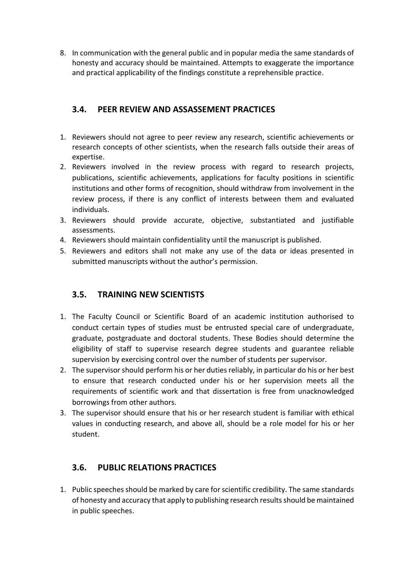8. In communication with the general public and in popular media the same standards of honesty and accuracy should be maintained. Attempts to exaggerate the importance and practical applicability of the findings constitute a reprehensible practice.

## **3.4. PEER REVIEW AND ASSASSEMENT PRACTICES**

- 1. Reviewers should not agree to peer review any research, scientific achievements or research concepts of other scientists, when the research falls outside their areas of expertise.
- 2. Reviewers involved in the review process with regard to research projects, publications, scientific achievements, applications for faculty positions in scientific institutions and other forms of recognition, should withdraw from involvement in the review process, if there is any conflict of interests between them and evaluated individuals.
- 3. Reviewers should provide accurate, objective, substantiated and justifiable assessments.
- 4. Reviewers should maintain confidentiality until the manuscript is published.
- 5. Reviewers and editors shall not make any use of the data or ideas presented in submitted manuscripts without the author's permission.

# **3.5. TRAINING NEW SCIENTISTS**

- 1. The Faculty Council or Scientific Board of an academic institution authorised to conduct certain types of studies must be entrusted special care of undergraduate, graduate, postgraduate and doctoral students. These Bodies should determine the eligibility of staff to supervise research degree students and guarantee reliable supervision by exercising control over the number of students per supervisor.
- 2. The supervisor should perform his or her duties reliably, in particular do his or her best to ensure that research conducted under his or her supervision meets all the requirements of scientific work and that dissertation is free from unacknowledged borrowings from other authors.
- 3. The supervisor should ensure that his or her research student is familiar with ethical values in conducting research, and above all, should be a role model for his or her student.

# **3.6. PUBLIC RELATIONS PRACTICES**

1. Public speeches should be marked by care for scientific credibility. The same standards of honesty and accuracy that apply to publishing research resultsshould be maintained in public speeches.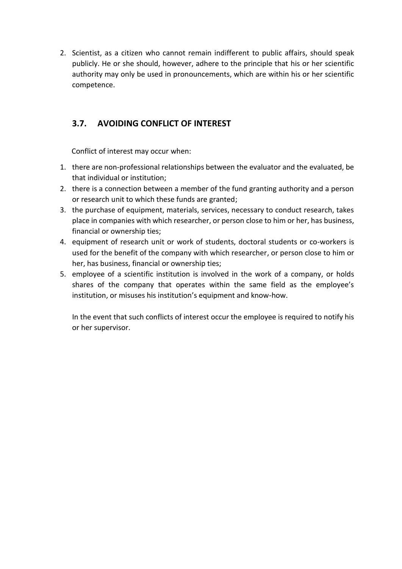2. Scientist, as a citizen who cannot remain indifferent to public affairs, should speak publicly. He or she should, however, adhere to the principle that his or her scientific authority may only be used in pronouncements, which are within his or her scientific competence.

## **3.7. AVOIDING CONFLICT OF INTEREST**

Conflict of interest may occur when:

- 1. there are non-professional relationships between the evaluator and the evaluated, be that individual or institution;
- 2. there is a connection between a member of the fund granting authority and a person or research unit to which these funds are granted;
- 3. the purchase of equipment, materials, services, necessary to conduct research, takes place in companies with which researcher, or person close to him or her, has business, financial or ownership ties;
- 4. equipment of research unit or work of students, doctoral students or co-workers is used for the benefit of the company with which researcher, or person close to him or her, has business, financial or ownership ties;
- 5. employee of a scientific institution is involved in the work of a company, or holds shares of the company that operates within the same field as the employee's institution, or misuses his institution's equipment and know-how.

In the event that such conflicts of interest occur the employee is required to notify his or her supervisor.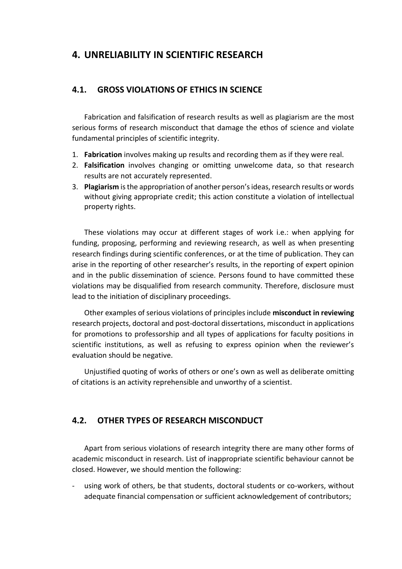# **4. UNRELIABILITY IN SCIENTIFIC RESEARCH**

#### **4.1. GROSS VIOLATIONS OF ETHICS IN SCIENCE**

Fabrication and falsification of research results as well as plagiarism are the most serious forms of research misconduct that damage the ethos of science and violate fundamental principles of scientific integrity.

- 1. **Fabrication** involves making up results and recording them as if they were real.
- 2. **Falsification** involves changing or omitting unwelcome data, so that research results are not accurately represented.
- 3. **Plagiarism** is the appropriation of another person's ideas, research results or words without giving appropriate credit; this action constitute a violation of intellectual property rights.

These violations may occur at different stages of work i.e.: when applying for funding, proposing, performing and reviewing research, as well as when presenting research findings during scientific conferences, or at the time of publication. They can arise in the reporting of other researcher's results, in the reporting of expert opinion and in the public dissemination of science. Persons found to have committed these violations may be disqualified from research community. Therefore, disclosure must lead to the initiation of disciplinary proceedings.

Other examples of serious violations of principles include **misconduct in reviewing** research projects, doctoral and post-doctoral dissertations, misconduct in applications for promotions to professorship and all types of applications for faculty positions in scientific institutions, as well as refusing to express opinion when the reviewer's evaluation should be negative.

Unjustified quoting of works of others or one's own as well as deliberate omitting of citations is an activity reprehensible and unworthy of a scientist.

### **4.2. OTHER TYPES OF RESEARCH MISCONDUCT**

Apart from serious violations of research integrity there are many other forms of academic misconduct in research. List of inappropriate scientific behaviour cannot be closed. However, we should mention the following:

using work of others, be that students, doctoral students or co-workers, without adequate financial compensation or sufficient acknowledgement of contributors;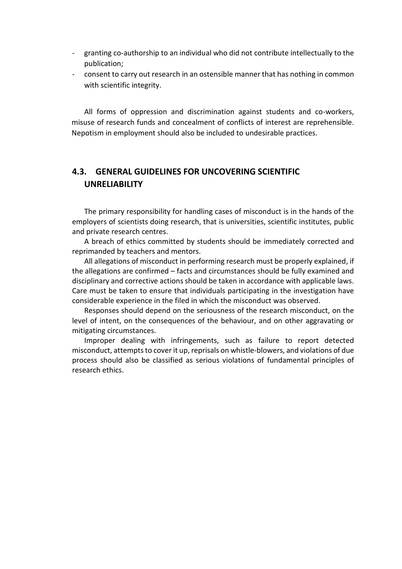- granting co-authorship to an individual who did not contribute intellectually to the publication;
- consent to carry out research in an ostensible manner that has nothing in common with scientific integrity.

All forms of oppression and discrimination against students and co-workers, misuse of research funds and concealment of conflicts of interest are reprehensible. Nepotism in employment should also be included to undesirable practices.

## **4.3. GENERAL GUIDELINES FOR UNCOVERING SCIENTIFIC UNRELIABILITY**

The primary responsibility for handling cases of misconduct is in the hands of the employers of scientists doing research, that is universities, scientific institutes, public and private research centres.

A breach of ethics committed by students should be immediately corrected and reprimanded by teachers and mentors.

All allegations of misconduct in performing research must be properly explained, if the allegations are confirmed – facts and circumstances should be fully examined and disciplinary and corrective actions should be taken in accordance with applicable laws. Care must be taken to ensure that individuals participating in the investigation have considerable experience in the filed in which the misconduct was observed.

Responses should depend on the seriousness of the research misconduct, on the level of intent, on the consequences of the behaviour, and on other aggravating or mitigating circumstances.

Improper dealing with infringements, such as failure to report detected misconduct, attempts to cover it up, reprisals on whistle-blowers, and violations of due process should also be classified as serious violations of fundamental principles of research ethics.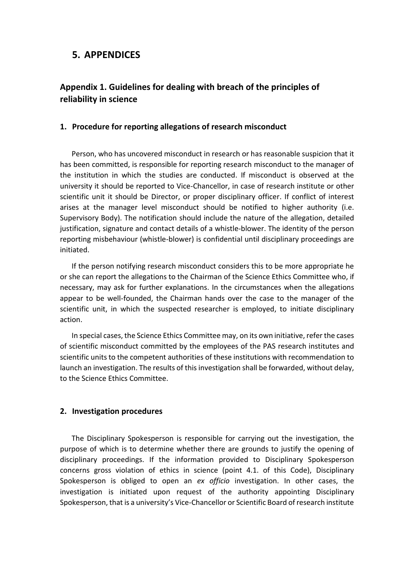## **5. APPENDICES**

## **Appendix 1. Guidelines for dealing with breach of the principles of reliability in science**

#### **1. Procedure for reporting allegations of research misconduct**

Person, who has uncovered misconduct in research or has reasonable suspicion that it has been committed, is responsible for reporting research misconduct to the manager of the institution in which the studies are conducted. If misconduct is observed at the university it should be reported to Vice-Chancellor, in case of research institute or other scientific unit it should be Director, or proper disciplinary officer. If conflict of interest arises at the manager level misconduct should be notified to higher authority (i.e. Supervisory Body). The notification should include the nature of the allegation, detailed justification, signature and contact details of a whistle-blower. The identity of the person reporting misbehaviour (whistle-blower) is confidential until disciplinary proceedings are initiated.

If the person notifying research misconduct considers this to be more appropriate he or she can report the allegations to the Chairman of the Science Ethics Committee who, if necessary, may ask for further explanations. In the circumstances when the allegations appear to be well-founded, the Chairman hands over the case to the manager of the scientific unit, in which the suspected researcher is employed, to initiate disciplinary action.

In special cases, the Science Ethics Committee may, on its own initiative, refer the cases of scientific misconduct committed by the employees of the PAS research institutes and scientific units to the competent authorities of these institutions with recommendation to launch an investigation. The results of this investigation shall be forwarded, without delay, to the Science Ethics Committee.

#### **2. Investigation procedures**

The Disciplinary Spokesperson is responsible for carrying out the investigation, the purpose of which is to determine whether there are grounds to justify the opening of disciplinary proceedings. If the information provided to Disciplinary Spokesperson concerns gross violation of ethics in science (point 4.1. of this Code), Disciplinary Spokesperson is obliged to open an *ex officio* investigation. In other cases, the investigation is initiated upon request of the authority appointing Disciplinary Spokesperson, that is a university's Vice-Chancellor or Scientific Board of research institute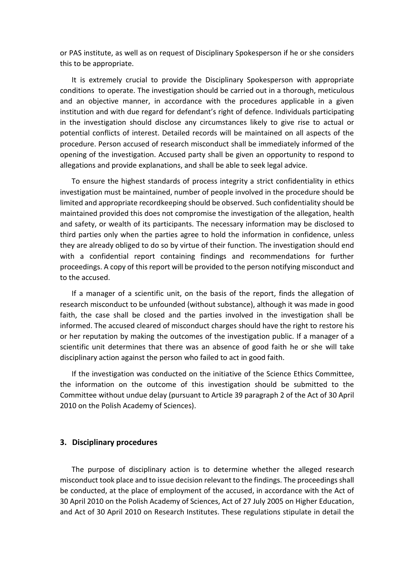or PAS institute, as well as on request of Disciplinary Spokesperson if he or she considers this to be appropriate.

It is extremely crucial to provide the Disciplinary Spokesperson with appropriate conditions to operate. The investigation should be carried out in a thorough, meticulous and an objective manner, in accordance with the procedures applicable in a given institution and with due regard for defendant's right of defence. Individuals participating in the investigation should disclose any circumstances likely to give rise to actual or potential conflicts of interest. Detailed records will be maintained on all aspects of the procedure. Person accused of research misconduct shall be immediately informed of the opening of the investigation. Accused party shall be given an opportunity to respond to allegations and provide explanations, and shall be able to seek legal advice.

To ensure the highest standards of process integrity a strict confidentiality in ethics investigation must be maintained, number of people involved in the procedure should be limited and appropriate recordkeeping should be observed. Such confidentiality should be maintained provided this does not compromise the investigation of the allegation, health and safety, or wealth of its participants. The necessary information may be disclosed to third parties only when the parties agree to hold the information in confidence, unless they are already obliged to do so by virtue of their function. The investigation should end with a confidential report containing findings and recommendations for further proceedings. A copy of this report will be provided to the person notifying misconduct and to the accused.

If a manager of a scientific unit, on the basis of the report, finds the allegation of research misconduct to be unfounded (without substance), although it was made in good faith, the case shall be closed and the parties involved in the investigation shall be informed. The accused cleared of misconduct charges should have the right to restore his or her reputation by making the outcomes of the investigation public. If a manager of a scientific unit determines that there was an absence of good faith he or she will take disciplinary action against the person who failed to act in good faith.

If the investigation was conducted on the initiative of the Science Ethics Committee, the information on the outcome of this investigation should be submitted to the Committee without undue delay (pursuant to Article 39 paragraph 2 of the Act of 30 April 2010 on the Polish Academy of Sciences).

#### **3. Disciplinary procedures**

The purpose of disciplinary action is to determine whether the alleged research misconduct took place and to issue decision relevant to the findings. The proceedings shall be conducted, at the place of employment of the accused, in accordance with the Act of 30 April 2010 on the Polish Academy of Sciences, Act of 27 July 2005 on Higher Education, and Act of 30 April 2010 on Research Institutes. These regulations stipulate in detail the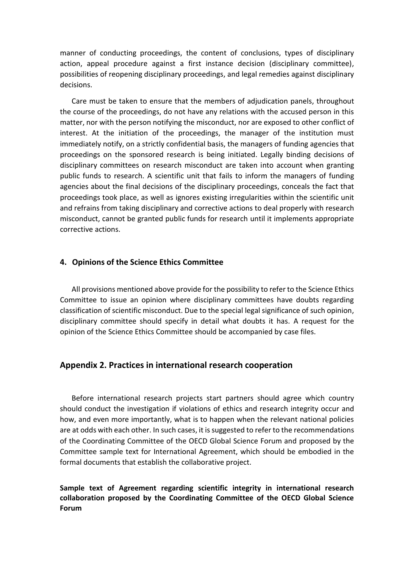manner of conducting proceedings, the content of conclusions, types of disciplinary action, appeal procedure against a first instance decision (disciplinary committee), possibilities of reopening disciplinary proceedings, and legal remedies against disciplinary decisions.

Care must be taken to ensure that the members of adjudication panels, throughout the course of the proceedings, do not have any relations with the accused person in this matter, nor with the person notifying the misconduct, nor are exposed to other conflict of interest. At the initiation of the proceedings, the manager of the institution must immediately notify, on a strictly confidential basis, the managers of funding agencies that proceedings on the sponsored research is being initiated. Legally binding decisions of disciplinary committees on research misconduct are taken into account when granting public funds to research. A scientific unit that fails to inform the managers of funding agencies about the final decisions of the disciplinary proceedings, conceals the fact that proceedings took place, as well as ignores existing irregularities within the scientific unit and refrains from taking disciplinary and corrective actions to deal properly with research misconduct, cannot be granted public funds for research until it implements appropriate corrective actions.

#### **4. Opinions of the Science Ethics Committee**

All provisions mentioned above provide for the possibility to refer to the Science Ethics Committee to issue an opinion where disciplinary committees have doubts regarding classification of scientific misconduct. Due to the special legal significance of such opinion, disciplinary committee should specify in detail what doubts it has. A request for the opinion of the Science Ethics Committee should be accompanied by case files.

#### **Appendix 2. Practices in international research cooperation**

Before international research projects start partners should agree which country should conduct the investigation if violations of ethics and research integrity occur and how, and even more importantly, what is to happen when the relevant national policies are at odds with each other. In such cases, it is suggested to refer to the recommendations of the Coordinating Committee of the OECD Global Science Forum and proposed by the Committee sample text for International Agreement, which should be embodied in the formal documents that establish the collaborative project.

#### **Sample text of Agreement regarding scientific integrity in international research collaboration proposed by the Coordinating Committee of the OECD Global Science Forum**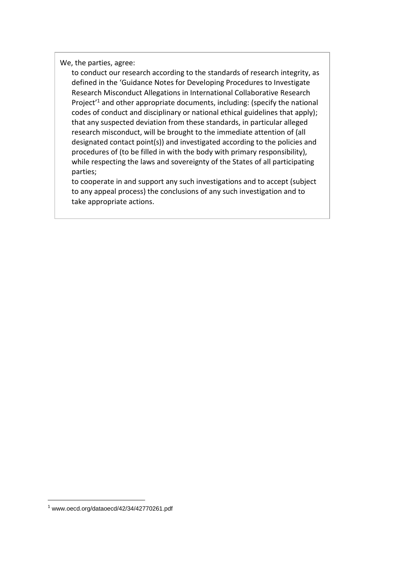We, the parties, agree:

to conduct our research according to the standards of research integrity, as defined in the 'Guidance Notes for Developing Procedures to Investigate Research Misconduct Allegations in International Collaborative Research Project'<sup>1</sup> and other appropriate documents, including: (specify the national codes of conduct and disciplinary or national ethical guidelines that apply); that any suspected deviation from these standards, in particular alleged research misconduct, will be brought to the immediate attention of (all designated contact point(s)) and investigated according to the policies and procedures of (to be filled in with the body with primary responsibility), while respecting the laws and sovereignty of the States of all participating parties;

to cooperate in and support any such investigations and to accept (subject to any appeal process) the conclusions of any such investigation and to take appropriate actions.

1

 $1$  www.oecd.org/dataoecd/42/34/42770261.pdf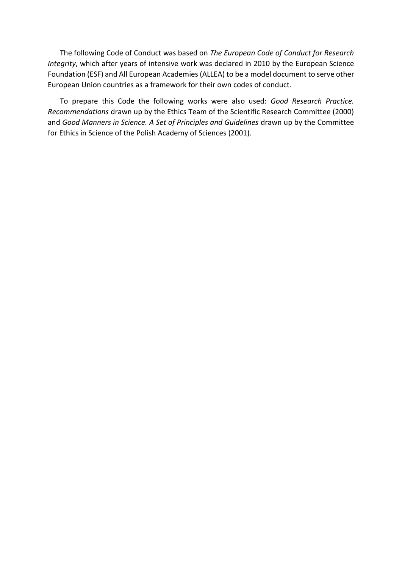The following Code of Conduct was based on *The European Code of Conduct for Research Integrity*, which after years of intensive work was declared in 2010 by the European Science Foundation (ESF) and All European Academies (ALLEA) to be a model document to serve other European Union countries as a framework for their own codes of conduct.

To prepare this Code the following works were also used: *Good Research Practice. Recommendations* drawn up by the Ethics Team of the Scientific Research Committee (2000) and *Good Manners in Science. A Set of Principles and Guidelines* drawn up by the Committee for Ethics in Science of the Polish Academy of Sciences (2001).